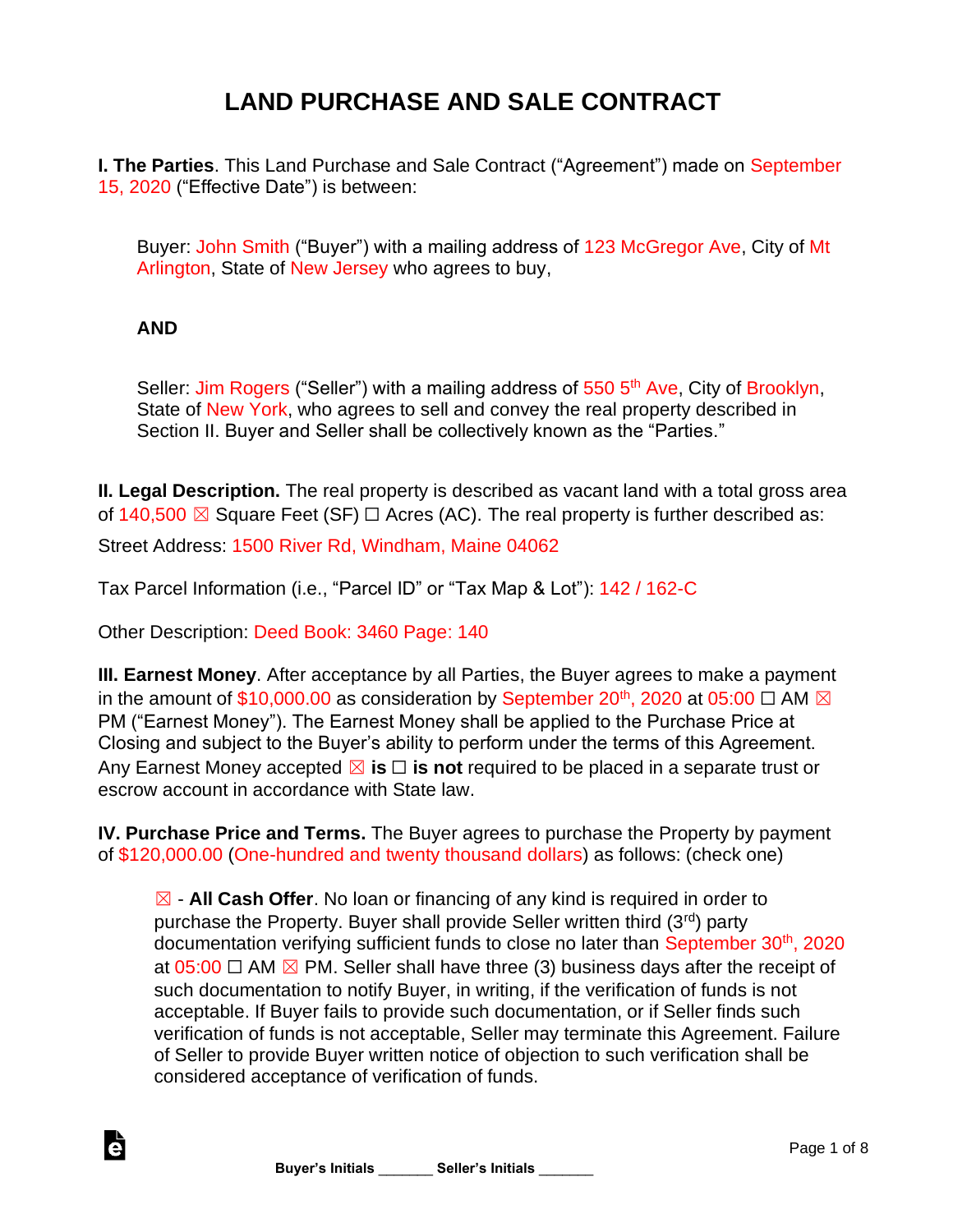## **LAND PURCHASE AND SALE CONTRACT**

**I. The Parties**. This Land Purchase and Sale Contract ("Agreement") made on September 15, 2020 ("Effective Date") is between:

Buyer: John Smith ("Buyer") with a mailing address of 123 McGregor Ave, City of Mt Arlington, State of New Jersey who agrees to buy,

## **AND**

è

Seller: Jim Rogers ("Seller") with a mailing address of 550 5<sup>th</sup> Ave, City of Brooklyn, State of New York, who agrees to sell and convey the real property described in Section II. Buyer and Seller shall be collectively known as the "Parties."

**II. Legal Description.** The real property is described as vacant land with a total gross area of 140,500  $\boxtimes$  Square Feet (SF)  $\Box$  Acres (AC). The real property is further described as:

Street Address: 1500 River Rd, Windham, Maine 04062

Tax Parcel Information (i.e., "Parcel ID" or "Tax Map & Lot"): 142 / 162-C

Other Description: Deed Book: 3460 Page: 140

**III. Earnest Money**. After acceptance by all Parties, the Buyer agrees to make a payment in the amount of \$10,000.00 as consideration by September 20<sup>th</sup>, 2020 at 05:00  $\Box$  AM  $\boxtimes$ PM ("Earnest Money"). The Earnest Money shall be applied to the Purchase Price at Closing and subject to the Buyer's ability to perform under the terms of this Agreement. Any Earnest Money accepted ⊠ **is** □ **is not** required to be placed in a separate trust or escrow account in accordance with State law.

**IV. Purchase Price and Terms.** The Buyer agrees to purchase the Property by payment of \$120,000.00 (One-hundred and twenty thousand dollars) as follows: (check one)

☒ - **All Cash Offer**. No loan or financing of any kind is required in order to purchase the Property. Buyer shall provide Seller written third (3rd) party documentation verifying sufficient funds to close no later than September 30<sup>th</sup>, 2020 at  $05:00$   $\Box$  AM  $\boxtimes$  PM. Seller shall have three (3) business days after the receipt of such documentation to notify Buyer, in writing, if the verification of funds is not acceptable. If Buyer fails to provide such documentation, or if Seller finds such verification of funds is not acceptable, Seller may terminate this Agreement. Failure of Seller to provide Buyer written notice of objection to such verification shall be considered acceptance of verification of funds.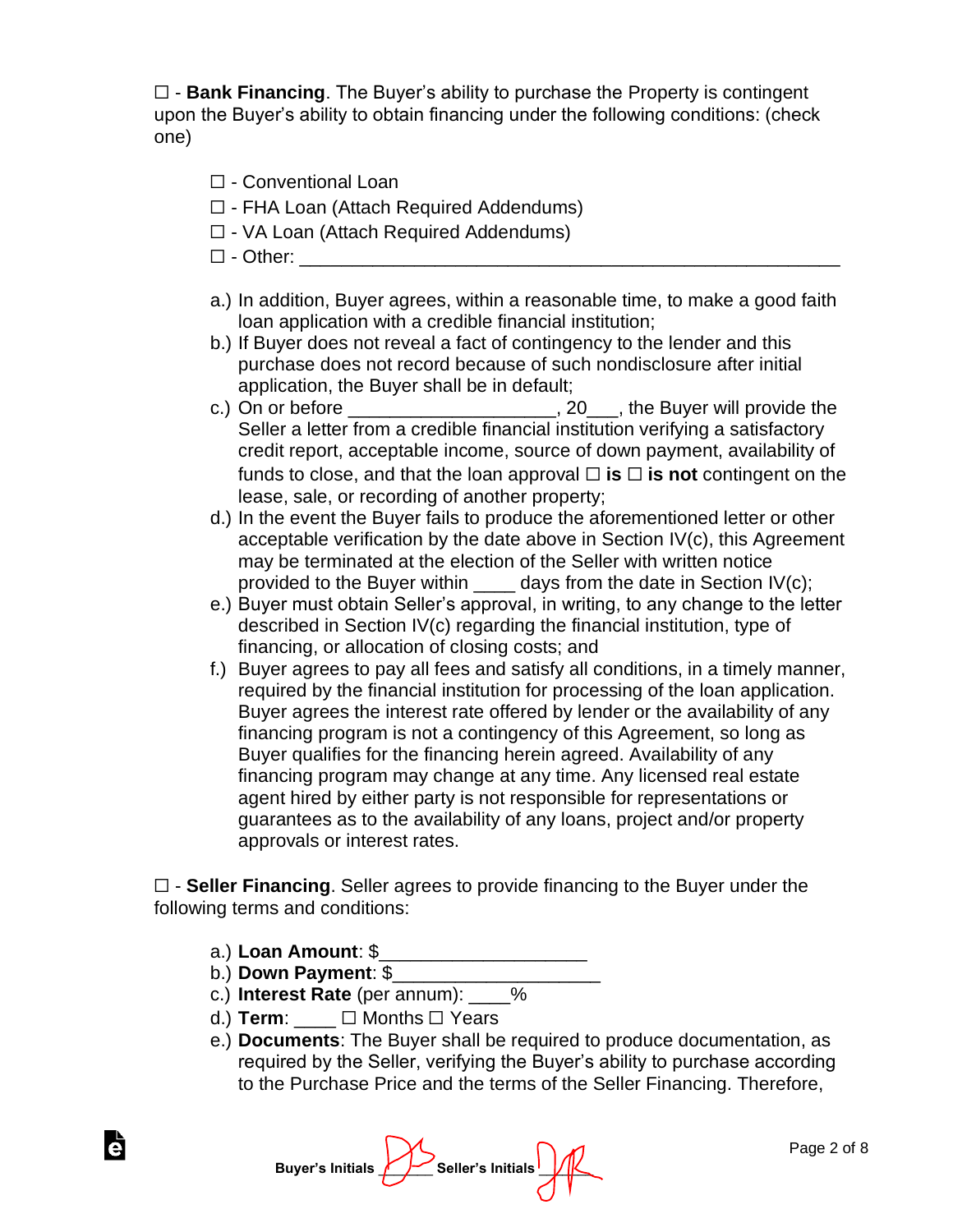☐ - **Bank Financing**. The Buyer's ability to purchase the Property is contingent upon the Buyer's ability to obtain financing under the following conditions: (check one)

- ☐ Conventional Loan
- ☐ FHA Loan (Attach Required Addendums)
- ☐ VA Loan (Attach Required Addendums)
- $\square$  Other:
- a.) In addition, Buyer agrees, within a reasonable time, to make a good faith loan application with a credible financial institution;
- b.) If Buyer does not reveal a fact of contingency to the lender and this purchase does not record because of such nondisclosure after initial application, the Buyer shall be in default;
- c.) On or before  $\frac{1}{\sqrt{1-\frac{1}{2}}}\sqrt{1-\frac{1}{2}}$  and  $\frac{1}{\sqrt{1-\frac{1}{2}}}\sqrt{1-\frac{1}{2}}$  and  $\frac{1}{\sqrt{1-\frac{1}{2}}}\sqrt{1-\frac{1}{2}}$  and  $\frac{1}{\sqrt{1-\frac{1}{2}}}\sqrt{1-\frac{1}{2}}$  and  $\frac{1}{\sqrt{1-\frac{1}{2}}}\sqrt{1-\frac{1}{2}}$  and  $\frac{1}{\sqrt{1-\frac{1}{2}}}\sqrt{1-\frac{1}{2}}$  and Seller a letter from a credible financial institution verifying a satisfactory credit report, acceptable income, source of down payment, availability of funds to close, and that the loan approval  $\Box$  **is**  $\Box$  **is not** contingent on the lease, sale, or recording of another property;
- d.) In the event the Buyer fails to produce the aforementioned letter or other acceptable verification by the date above in Section IV(c), this Agreement may be terminated at the election of the Seller with written notice provided to the Buyer within  $\_\_\_\_$  days from the date in Section IV(c);
- e.) Buyer must obtain Seller's approval, in writing, to any change to the letter described in Section IV(c) regarding the financial institution, type of financing, or allocation of closing costs; and
- f.) Buyer agrees to pay all fees and satisfy all conditions, in a timely manner, required by the financial institution for processing of the loan application. Buyer agrees the interest rate offered by lender or the availability of any financing program is not a contingency of this Agreement, so long as Buyer qualifies for the financing herein agreed. Availability of any financing program may change at any time. Any licensed real estate agent hired by either party is not responsible for representations or guarantees as to the availability of any loans, project and/or property approvals or interest rates.

☐ - **Seller Financing**. Seller agrees to provide financing to the Buyer under the following terms and conditions:

- a.) **Loan Amount**: \$\_\_\_\_\_\_\_\_\_\_\_\_\_\_\_\_\_\_\_\_
- b.) **Down Payment**: \$\_\_\_\_\_\_\_\_\_\_\_\_\_\_\_\_\_\_\_\_

Ġ

- c.) **Interest Rate** (per annum): \_\_\_\_%
- d.) **Term**:  $□$  Months □ Years
- e.) **Documents**: The Buyer shall be required to produce documentation, as required by the Seller, verifying the Buyer's ability to purchase according to the Purchase Price and the terms of the Seller Financing. Therefore,

**Buyer's Initials**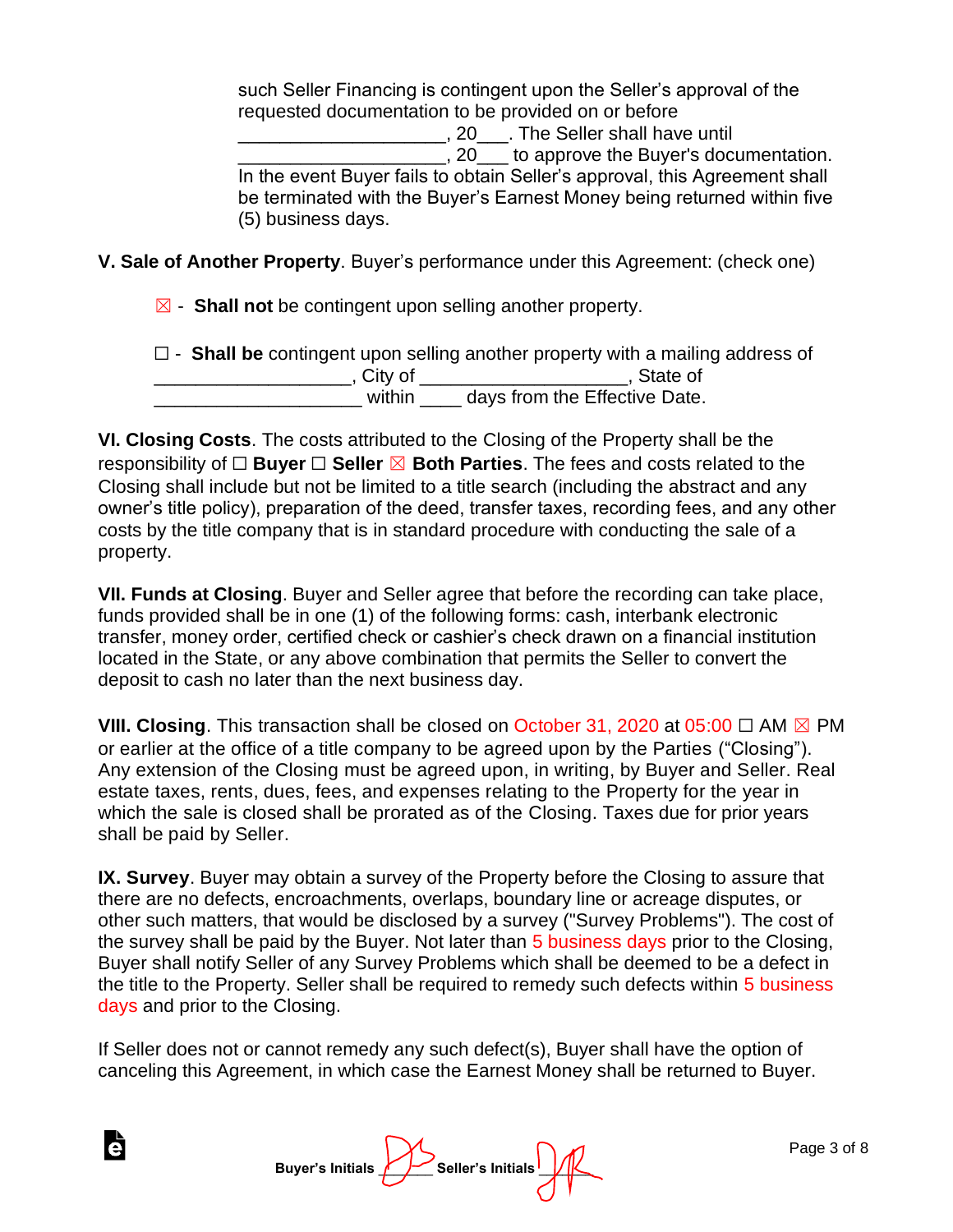such Seller Financing is contingent upon the Seller's approval of the requested documentation to be provided on or before \_\_\_\_\_\_\_\_\_\_\_\_\_\_\_\_\_\_\_\_, 20\_\_\_. The Seller shall have until  $\Box$ , 20  $\Box$  to approve the Buyer's documentation. In the event Buyer fails to obtain Seller's approval, this Agreement shall be terminated with the Buyer's Earnest Money being returned within five (5) business days.

**V. Sale of Another Property**. Buyer's performance under this Agreement: (check one)

☒ - **Shall not** be contingent upon selling another property.

|           | $\Box$ - Shall be contingent upon selling another property with a mailing address of |
|-----------|--------------------------------------------------------------------------------------|
| , City of | . State of                                                                           |
| within    | days from the Effective Date.                                                        |

**VI. Closing Costs**. The costs attributed to the Closing of the Property shall be the responsibility of ☐ **Buyer** ☐ **Seller** ☒ **Both Parties**. The fees and costs related to the Closing shall include but not be limited to a title search (including the abstract and any owner's title policy), preparation of the deed, transfer taxes, recording fees, and any other costs by the title company that is in standard procedure with conducting the sale of a property.

**VII. Funds at Closing**. Buyer and Seller agree that before the recording can take place, funds provided shall be in one (1) of the following forms: cash, interbank electronic transfer, money order, certified check or cashier's check drawn on a financial institution located in the State, or any above combination that permits the Seller to convert the deposit to cash no later than the next business day.

**VIII. Closing**. This transaction shall be closed on October 31, 2020 at 05:00 ☐ AM ☒ PM or earlier at the office of a title company to be agreed upon by the Parties ("Closing"). Any extension of the Closing must be agreed upon, in writing, by Buyer and Seller. Real estate taxes, rents, dues, fees, and expenses relating to the Property for the year in which the sale is closed shall be prorated as of the Closing. Taxes due for prior years shall be paid by Seller.

**IX. Survey**. Buyer may obtain a survey of the Property before the Closing to assure that there are no defects, encroachments, overlaps, boundary line or acreage disputes, or other such matters, that would be disclosed by a survey ("Survey Problems"). The cost of the survey shall be paid by the Buyer. Not later than 5 business days prior to the Closing, Buyer shall notify Seller of any Survey Problems which shall be deemed to be a defect in the title to the Property. Seller shall be required to remedy such defects within 5 business days and prior to the Closing.

If Seller does not or cannot remedy any such defect(s), Buyer shall have the option of canceling this Agreement, in which case the Earnest Money shall be returned to Buyer.

| <mark>∕</mark> _ Buyer's Initials | Seller's Initials |
|-----------------------------------|-------------------|
|-----------------------------------|-------------------|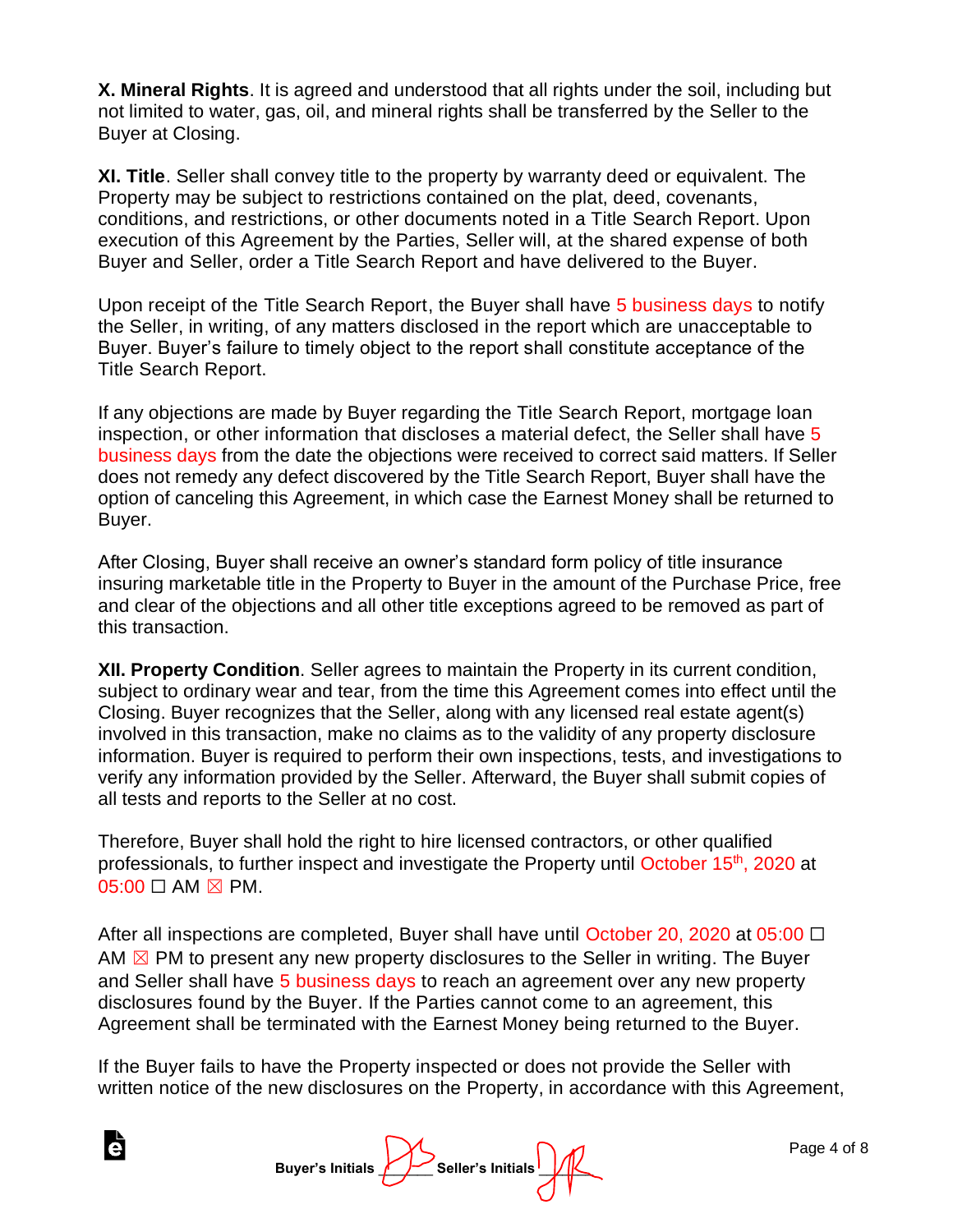**X. Mineral Rights**. It is agreed and understood that all rights under the soil, including but not limited to water, gas, oil, and mineral rights shall be transferred by the Seller to the Buyer at Closing.

**XI. Title**. Seller shall convey title to the property by warranty deed or equivalent. The Property may be subject to restrictions contained on the plat, deed, covenants, conditions, and restrictions, or other documents noted in a Title Search Report. Upon execution of this Agreement by the Parties, Seller will, at the shared expense of both Buyer and Seller, order a Title Search Report and have delivered to the Buyer.

Upon receipt of the Title Search Report, the Buyer shall have 5 business days to notify the Seller, in writing, of any matters disclosed in the report which are unacceptable to Buyer. Buyer's failure to timely object to the report shall constitute acceptance of the Title Search Report.

If any objections are made by Buyer regarding the Title Search Report, mortgage loan inspection, or other information that discloses a material defect, the Seller shall have 5 business days from the date the objections were received to correct said matters. If Seller does not remedy any defect discovered by the Title Search Report, Buyer shall have the option of canceling this Agreement, in which case the Earnest Money shall be returned to Buyer.

After Closing, Buyer shall receive an owner's standard form policy of title insurance insuring marketable title in the Property to Buyer in the amount of the Purchase Price, free and clear of the objections and all other title exceptions agreed to be removed as part of this transaction.

**XII. Property Condition**. Seller agrees to maintain the Property in its current condition, subject to ordinary wear and tear, from the time this Agreement comes into effect until the Closing. Buyer recognizes that the Seller, along with any licensed real estate agent(s) involved in this transaction, make no claims as to the validity of any property disclosure information. Buyer is required to perform their own inspections, tests, and investigations to verify any information provided by the Seller. Afterward, the Buyer shall submit copies of all tests and reports to the Seller at no cost.

Therefore, Buyer shall hold the right to hire licensed contractors, or other qualified professionals, to further inspect and investigate the Property until October 15<sup>th</sup>, 2020 at  $05:00 \square$  AM  $\boxtimes$  PM.

After all inspections are completed, Buyer shall have until October 20, 2020 at 05:00  $\Box$ AM  $\boxtimes$  PM to present any new property disclosures to the Seller in writing. The Buyer and Seller shall have 5 business days to reach an agreement over any new property disclosures found by the Buyer. If the Parties cannot come to an agreement, this Agreement shall be terminated with the Earnest Money being returned to the Buyer.

If the Buyer fails to have the Property inspected or does not provide the Seller with written notice of the new disclosures on the Property, in accordance with this Agreement,

Buyer's Initials **Allencer's Initials** 

Ġ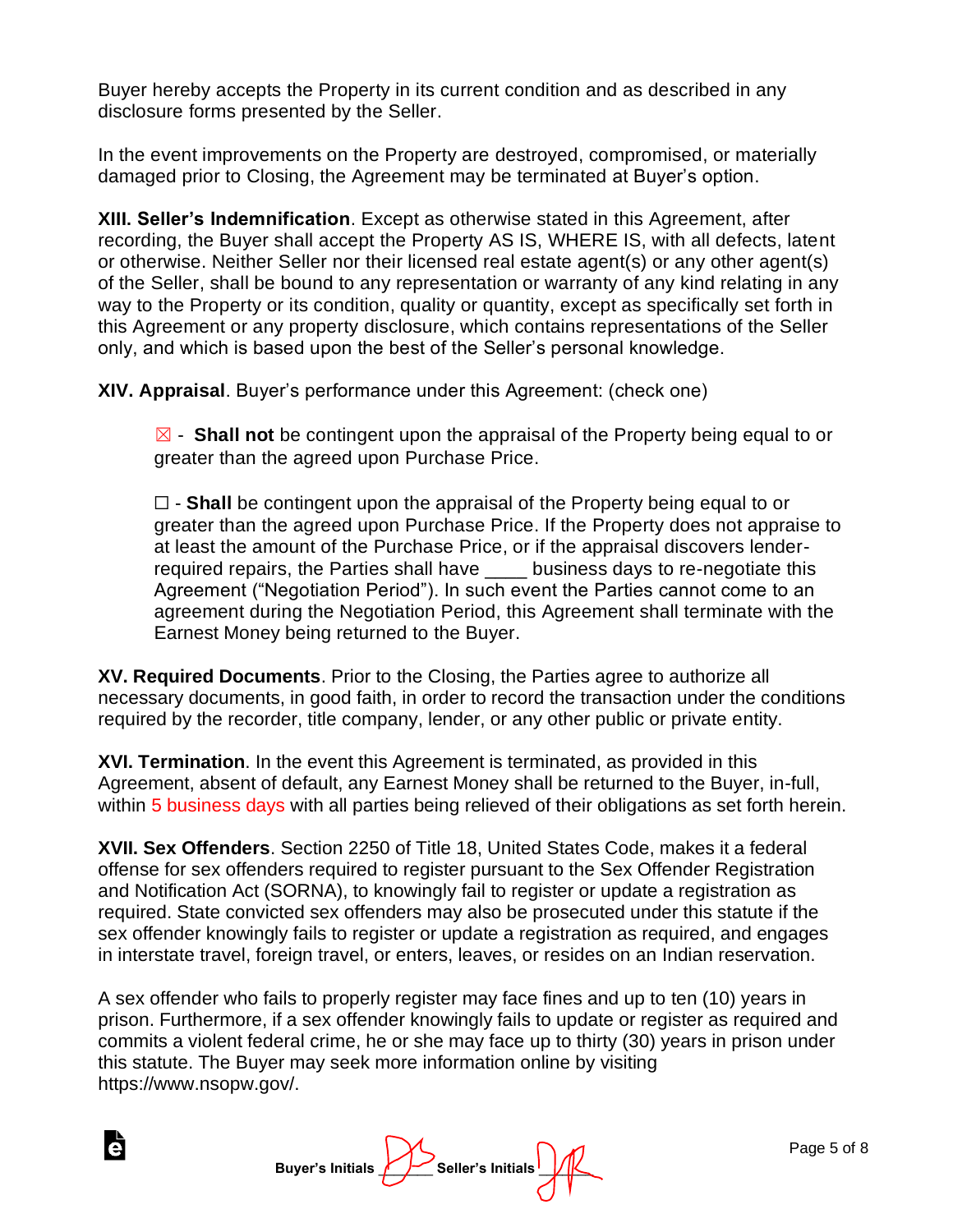Buyer hereby accepts the Property in its current condition and as described in any disclosure forms presented by the Seller.

In the event improvements on the Property are destroyed, compromised, or materially damaged prior to Closing, the Agreement may be terminated at Buyer's option.

**XIII. Seller's Indemnification**. Except as otherwise stated in this Agreement, after recording, the Buyer shall accept the Property AS IS, WHERE IS, with all defects, latent or otherwise. Neither Seller nor their licensed real estate agent(s) or any other agent(s) of the Seller, shall be bound to any representation or warranty of any kind relating in any way to the Property or its condition, quality or quantity, except as specifically set forth in this Agreement or any property disclosure, which contains representations of the Seller only, and which is based upon the best of the Seller's personal knowledge.

**XIV. Appraisal**. Buyer's performance under this Agreement: (check one)

☒ - **Shall not** be contingent upon the appraisal of the Property being equal to or greater than the agreed upon Purchase Price.

☐ - **Shall** be contingent upon the appraisal of the Property being equal to or greater than the agreed upon Purchase Price. If the Property does not appraise to at least the amount of the Purchase Price, or if the appraisal discovers lenderrequired repairs, the Parties shall have business days to re-negotiate this Agreement ("Negotiation Period"). In such event the Parties cannot come to an agreement during the Negotiation Period, this Agreement shall terminate with the Earnest Money being returned to the Buyer.

**XV. Required Documents**. Prior to the Closing, the Parties agree to authorize all necessary documents, in good faith, in order to record the transaction under the conditions required by the recorder, title company, lender, or any other public or private entity.

**XVI. Termination**. In the event this Agreement is terminated, as provided in this Agreement, absent of default, any Earnest Money shall be returned to the Buyer, in-full, within 5 business days with all parties being relieved of their obligations as set forth herein.

**XVII. Sex Offenders**. Section 2250 of Title 18, United States Code, makes it a federal offense for sex offenders required to register pursuant to the Sex Offender Registration and Notification Act (SORNA), to knowingly fail to register or update a registration as required. State convicted sex offenders may also be prosecuted under this statute if the sex offender knowingly fails to register or update a registration as required, and engages in interstate travel, foreign travel, or enters, leaves, or resides on an Indian reservation.

A sex offender who fails to properly register may face fines and up to ten (10) years in prison. Furthermore, if a sex offender knowingly fails to update or register as required and commits a violent federal crime, he or she may face up to thirty (30) years in prison under this statute. The Buyer may seek more information online by visiting https://www.nsopw.gov/.

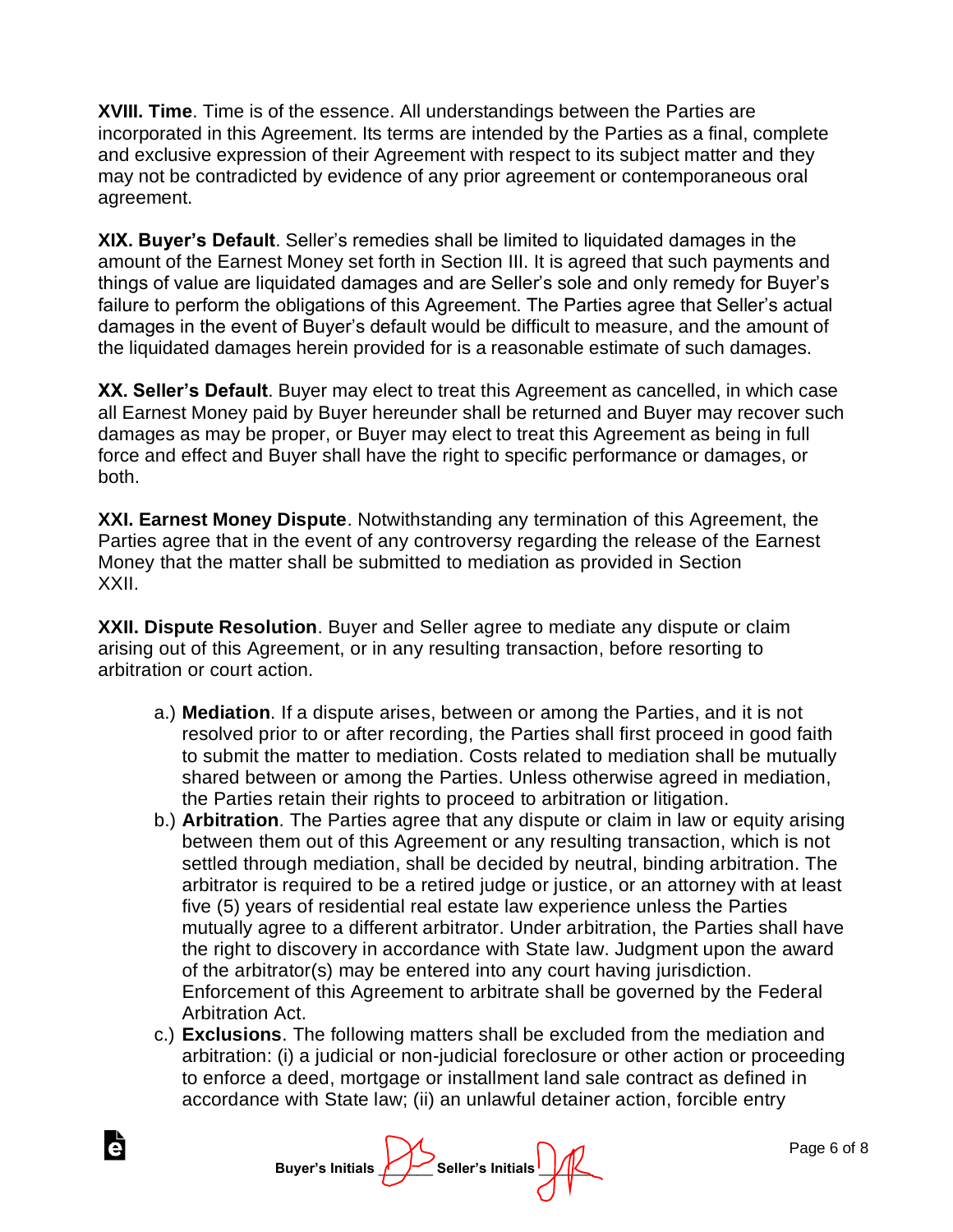**XVIII. Time**. Time is of the essence. All understandings between the Parties are incorporated in this Agreement. Its terms are intended by the Parties as a final, complete and exclusive expression of their Agreement with respect to its subject matter and they may not be contradicted by evidence of any prior agreement or contemporaneous oral agreement.

**XIX. Buyer's Default**. Seller's remedies shall be limited to liquidated damages in the amount of the Earnest Money set forth in Section III. It is agreed that such payments and things of value are liquidated damages and are Seller's sole and only remedy for Buyer's failure to perform the obligations of this Agreement. The Parties agree that Seller's actual damages in the event of Buyer's default would be difficult to measure, and the amount of the liquidated damages herein provided for is a reasonable estimate of such damages.

**XX. Seller's Default**. Buyer may elect to treat this Agreement as cancelled, in which case all Earnest Money paid by Buyer hereunder shall be returned and Buyer may recover such damages as may be proper, or Buyer may elect to treat this Agreement as being in full force and effect and Buyer shall have the right to specific performance or damages, or both.

**XXI. Earnest Money Dispute**. Notwithstanding any termination of this Agreement, the Parties agree that in the event of any controversy regarding the release of the Earnest Money that the matter shall be submitted to mediation as provided in Section XXII.

**XXII. Dispute Resolution**. Buyer and Seller agree to mediate any dispute or claim arising out of this Agreement, or in any resulting transaction, before resorting to arbitration or court action.

- a.) **Mediation**. If a dispute arises, between or among the Parties, and it is not resolved prior to or after recording, the Parties shall first proceed in good faith to submit the matter to mediation. Costs related to mediation shall be mutually shared between or among the Parties. Unless otherwise agreed in mediation, the Parties retain their rights to proceed to arbitration or litigation.
- b.) **Arbitration**. The Parties agree that any dispute or claim in law or equity arising between them out of this Agreement or any resulting transaction, which is not settled through mediation, shall be decided by neutral, binding arbitration. The arbitrator is required to be a retired judge or justice, or an attorney with at least five (5) years of residential real estate law experience unless the Parties mutually agree to a different arbitrator. Under arbitration, the Parties shall have the right to discovery in accordance with State law. Judgment upon the award of the arbitrator(s) may be entered into any court having jurisdiction. Enforcement of this Agreement to arbitrate shall be governed by the Federal Arbitration Act.
- c.) **Exclusions**. The following matters shall be excluded from the mediation and arbitration: (i) a judicial or non-judicial foreclosure or other action or proceeding to enforce a deed, mortgage or installment land sale contract as defined in accordance with State law; (ii) an unlawful detainer action, forcible entry

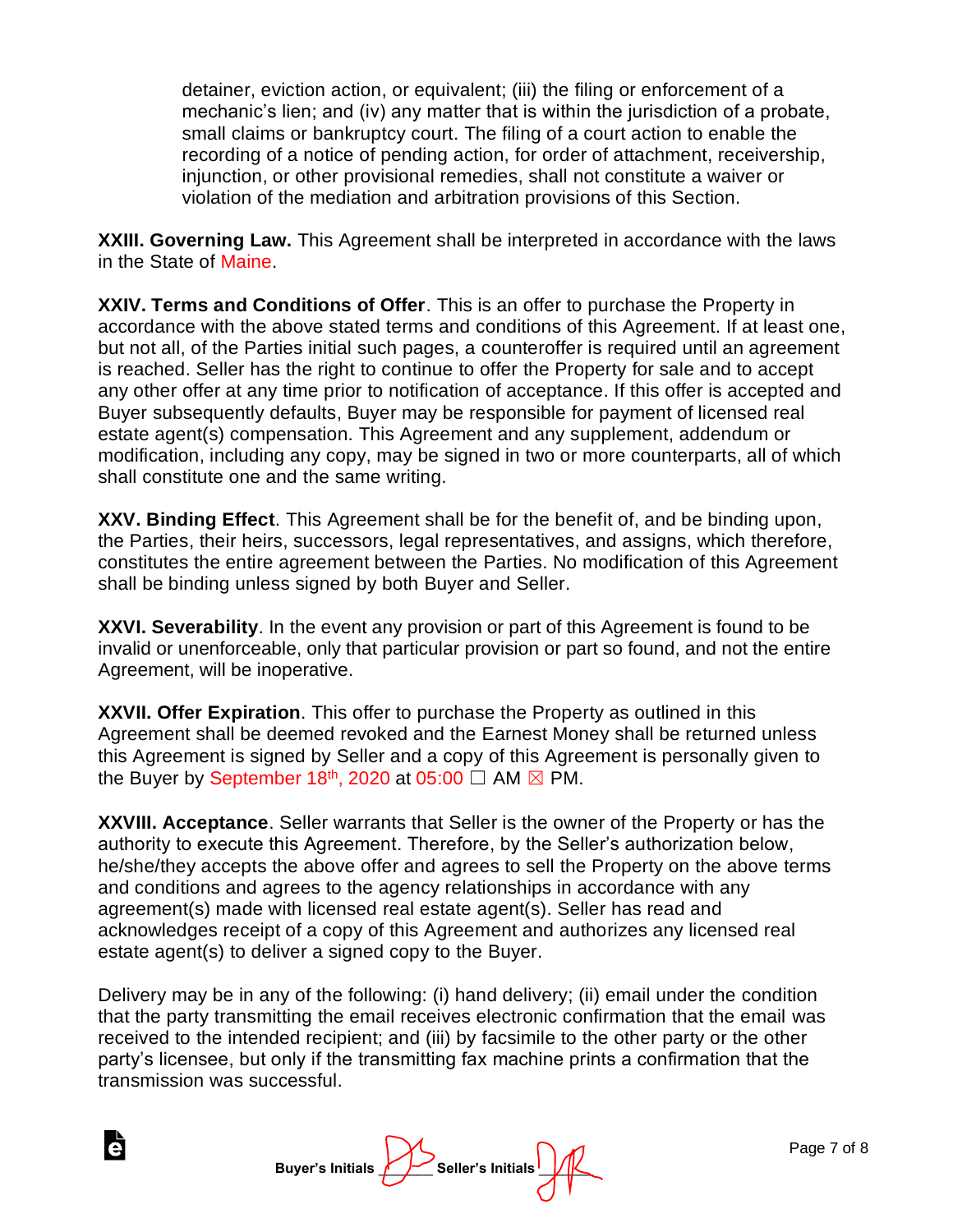detainer, eviction action, or equivalent; (iii) the filing or enforcement of a mechanic's lien; and (iv) any matter that is within the jurisdiction of a probate, small claims or bankruptcy court. The filing of a court action to enable the recording of a notice of pending action, for order of attachment, receivership, injunction, or other provisional remedies, shall not constitute a waiver or violation of the mediation and arbitration provisions of this Section.

**XXIII. Governing Law.** This Agreement shall be interpreted in accordance with the laws in the State of Maine.

**XXIV. Terms and Conditions of Offer**. This is an offer to purchase the Property in accordance with the above stated terms and conditions of this Agreement. If at least one, but not all, of the Parties initial such pages, a counteroffer is required until an agreement is reached. Seller has the right to continue to offer the Property for sale and to accept any other offer at any time prior to notification of acceptance. If this offer is accepted and Buyer subsequently defaults, Buyer may be responsible for payment of licensed real estate agent(s) compensation. This Agreement and any supplement, addendum or modification, including any copy, may be signed in two or more counterparts, all of which shall constitute one and the same writing.

**XXV. Binding Effect**. This Agreement shall be for the benefit of, and be binding upon, the Parties, their heirs, successors, legal representatives, and assigns, which therefore, constitutes the entire agreement between the Parties. No modification of this Agreement shall be binding unless signed by both Buyer and Seller.

**XXVI. Severability**. In the event any provision or part of this Agreement is found to be invalid or unenforceable, only that particular provision or part so found, and not the entire Agreement, will be inoperative.

**XXVII. Offer Expiration**. This offer to purchase the Property as outlined in this Agreement shall be deemed revoked and the Earnest Money shall be returned unless this Agreement is signed by Seller and a copy of this Agreement is personally given to the Buyer by September 18<sup>th</sup>, 2020 at 05:00  $\Box$  AM  $\boxtimes$  PM.

**XXVIII. Acceptance**. Seller warrants that Seller is the owner of the Property or has the authority to execute this Agreement. Therefore, by the Seller's authorization below, he/she/they accepts the above offer and agrees to sell the Property on the above terms and conditions and agrees to the agency relationships in accordance with any agreement(s) made with licensed real estate agent(s). Seller has read and acknowledges receipt of a copy of this Agreement and authorizes any licensed real estate agent(s) to deliver a signed copy to the Buyer.

Delivery may be in any of the following: (i) hand delivery; (ii) email under the condition that the party transmitting the email receives electronic confirmation that the email was received to the intended recipient; and (iii) by facsimile to the other party or the other party's licensee, but only if the transmitting fax machine prints a confirmation that the transmission was successful.

**Buyer's Initials Aller's Initials**